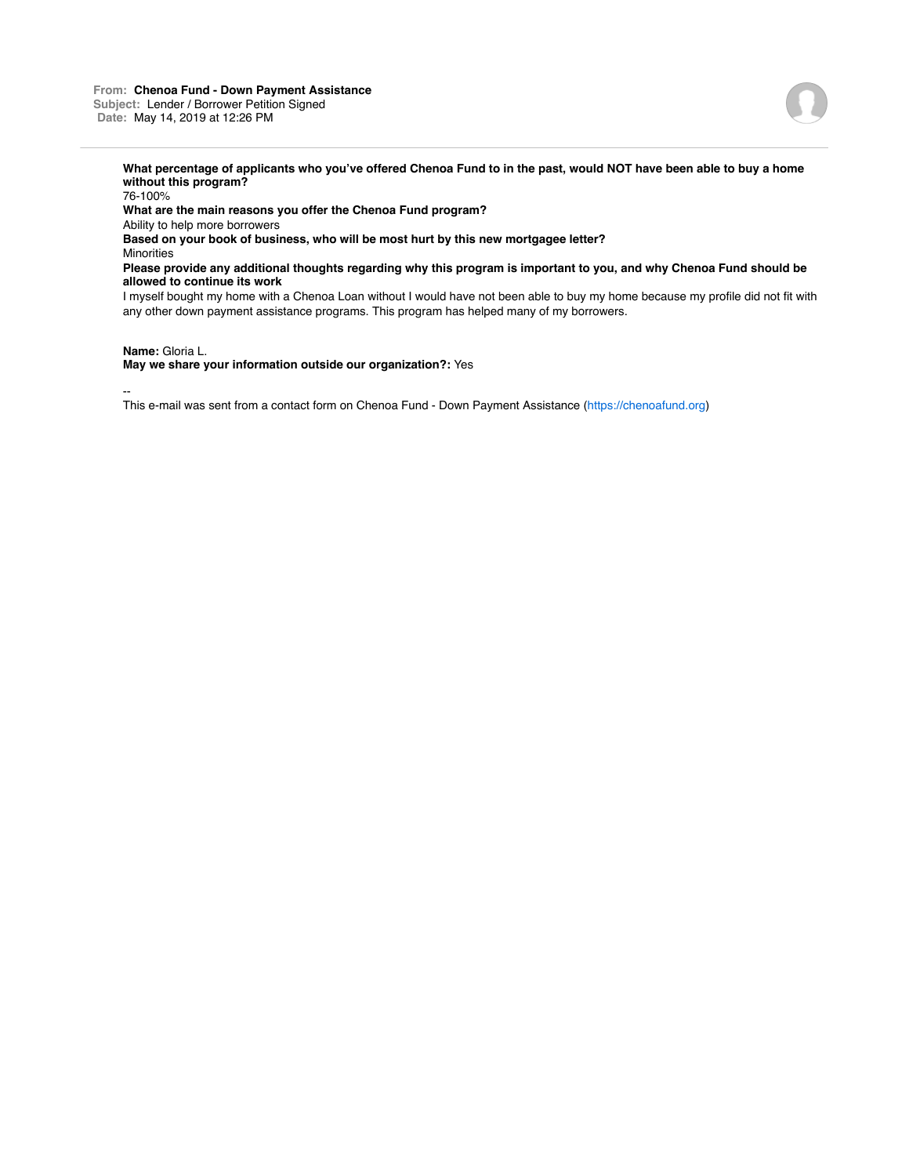## **From: Chenoa Fund - Down Payment Assistance Subject:** Lender / Borrower Petition Signed **Date:** May 14, 2019 at 12:26 PM



**What percentage of applicants who you've offered Chenoa Fund to in the past, would NOT have been able to buy a home without this program?**

76-100% **What are the main reasons you offer the Chenoa Fund program?** Ability to help more borrowers **Based on your book of business, who will be most hurt by this new mortgagee letter? Minorities Please provide any additional thoughts regarding why this program is important to you, and why Chenoa Fund should be allowed to continue its work** I myself bought my home with a Chenoa Loan without I would have not been able to buy my home because my profile did not fit with any other down payment assistance programs. This program has helped many of my borrowers.

## **Name:** Gloria L.

**May we share your information outside our organization?:** Yes

--

This e-mail was sent from a contact form on Chenoa Fund - Down Payment Assistance (https://chenoafund.org)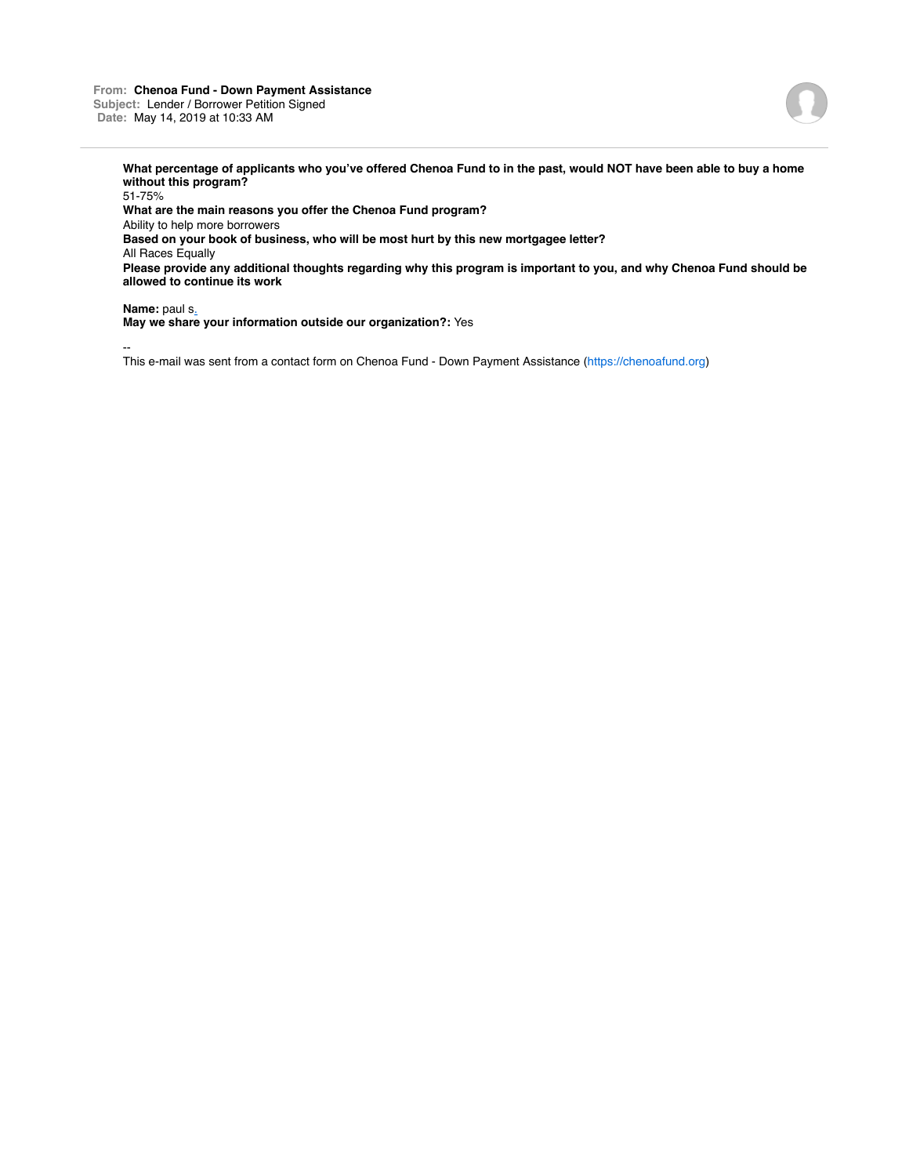## **From: Chenoa Fund - Down Payment Assistance Subject:** Lender / Borrower Petition Signed **Date:** May 14, 2019 at 10:33 AM



**What percentage of applicants who you've offered Chenoa Fund to in the past, would NOT have been able to buy a home without this program?**

51-75% **What are the main reasons you offer the Chenoa Fund program?** Ability to help more borrowers **Based on your book of business, who will be most hurt by this new mortgagee letter?** All Races Equally **Please provide any additional thoughts regarding why this program is important to you, and why Chenoa Fund should be allowed to continue its work**

**Name:** paul s.

**May we share your information outside our organization?:** Yes

--

This e-mail was sent from a contact form on Chenoa Fund - Down Payment Assistance (https://chenoafund.org)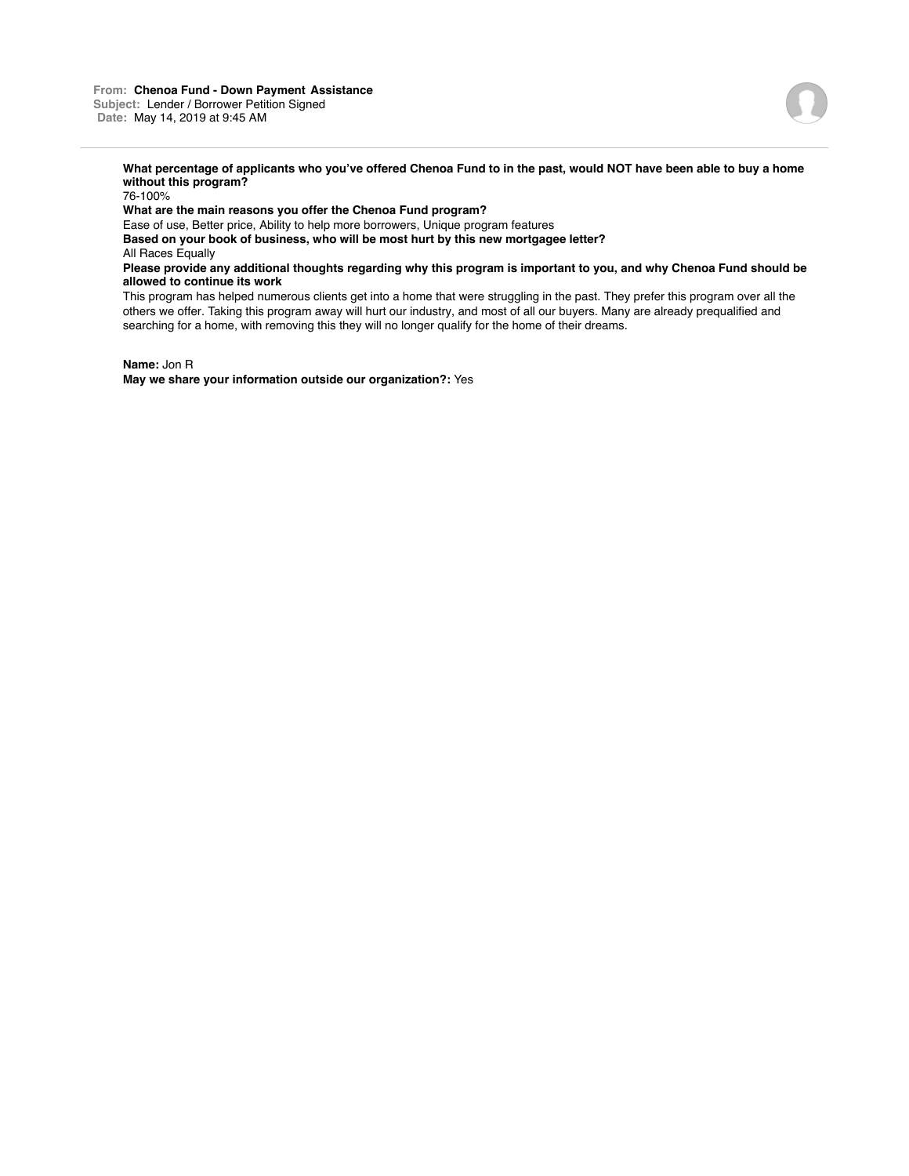

**What percentage of applicants who you've offered Chenoa Fund to in the past, would NOT have been able to buy a home without this program?**

76-100%

**What are the main reasons you offer the Chenoa Fund program?**

Ease of use, Better price, Ability to help more borrowers, Unique program features

**Based on your book of business, who will be most hurt by this new mortgagee letter?**

All Races Equally

**Please provide any additional thoughts regarding why this program is important to you, and why Chenoa Fund should be allowed to continue its work**

This program has helped numerous clients get into a home that were struggling in the past. They prefer this program over all the others we offer. Taking this program away will hurt our industry, and most of all our buyers. Many are already prequalified and searching for a home, with removing this they will no longer qualify for the home of their dreams.

**Name:** Jon R

**May we share your information outside our organization?:** Yes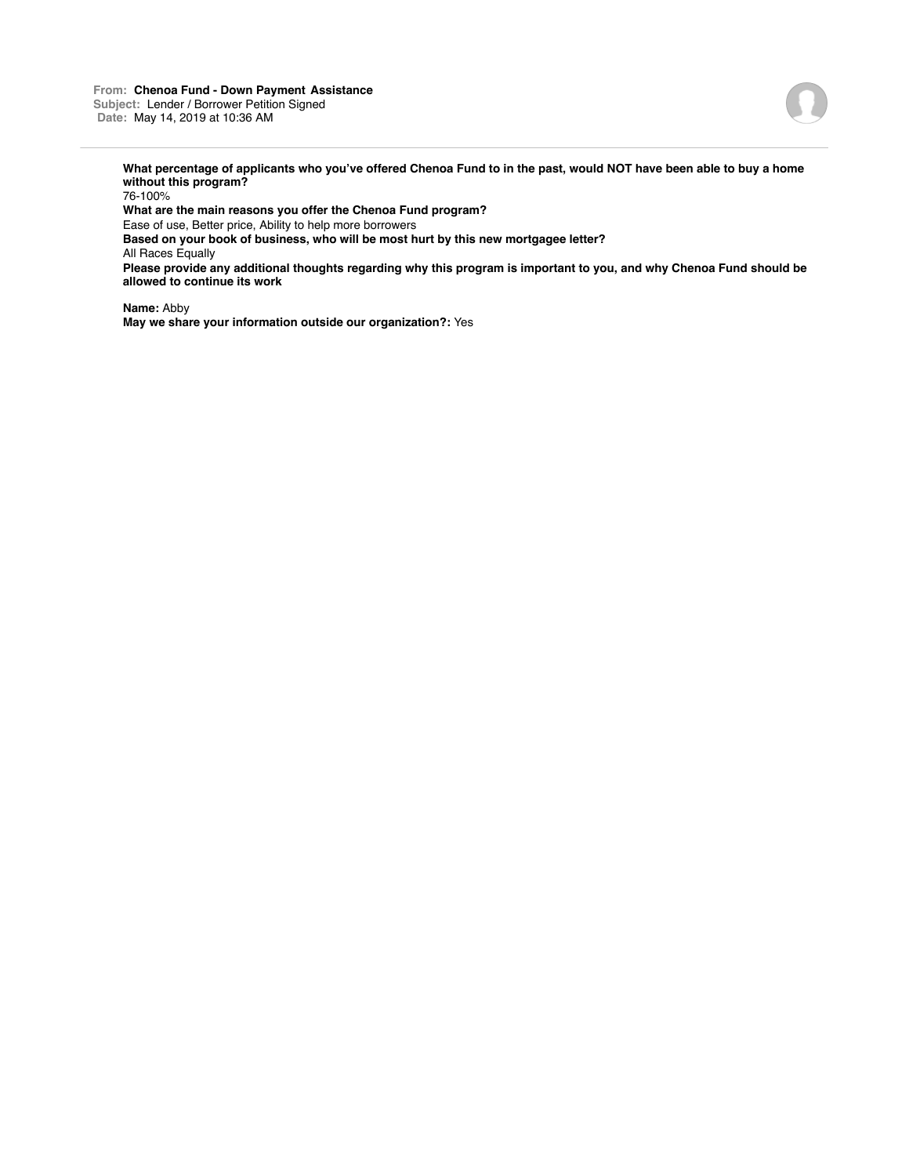

**What percentage of applicants who you've offered Chenoa Fund to in the past, would NOT have been able to buy a home without this program?**

76-100%

**What are the main reasons you offer the Chenoa Fund program?**

Ease of use, Better price, Ability to help more borrowers

**Based on your book of business, who will be most hurt by this new mortgagee letter?**

All Races Equally

**Please provide any additional thoughts regarding why this program is important to you, and why Chenoa Fund should be allowed to continue its work**

**Name:** Abby **May we share your information outside our organization?:** Yes